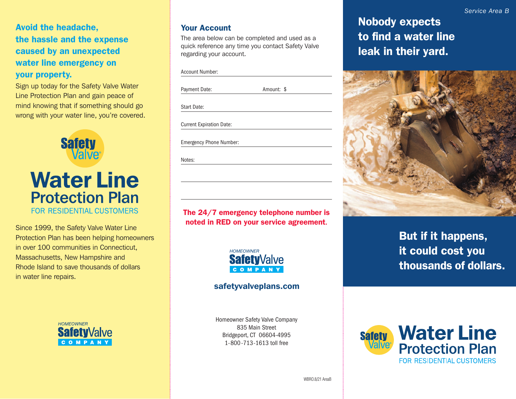Avoid the headache, the hassle and the expense caused by an unexpected water line emergency on your property.

Sign up today for the Safety Valve Water Line Protection Plan and gain peace of mind knowing that if something should go wrong with your water line, you're covered.



Since 1999, the Safety Valve Water Line Protection Plan has been helping homeowners in over 100 communities in Connecticut, Massachusetts, New Hampshire and Rhode Island to save thousands of dollars in water line repairs.



#### Your Account

The area below can be completed and used as a quick reference any time you contact Safety Valve regarding your account.

| <b>Account Number:</b> |
|------------------------|
|------------------------|

Payment Date: Amount: \$

Current Expiration Date:

Emergency Phone Number:

Notes:

The 24/7 emergency telephone number is noted in RED on your service agreement.



## safetyvalveplans.com

Homeowner Safety Valve Company 835 Main Street Bridgeport, CT 06604-4995 1-800-713-1613 toll free

Nobody expects to find a water line leak in their yard.



But if it happens, it could cost you thousands of dollars.